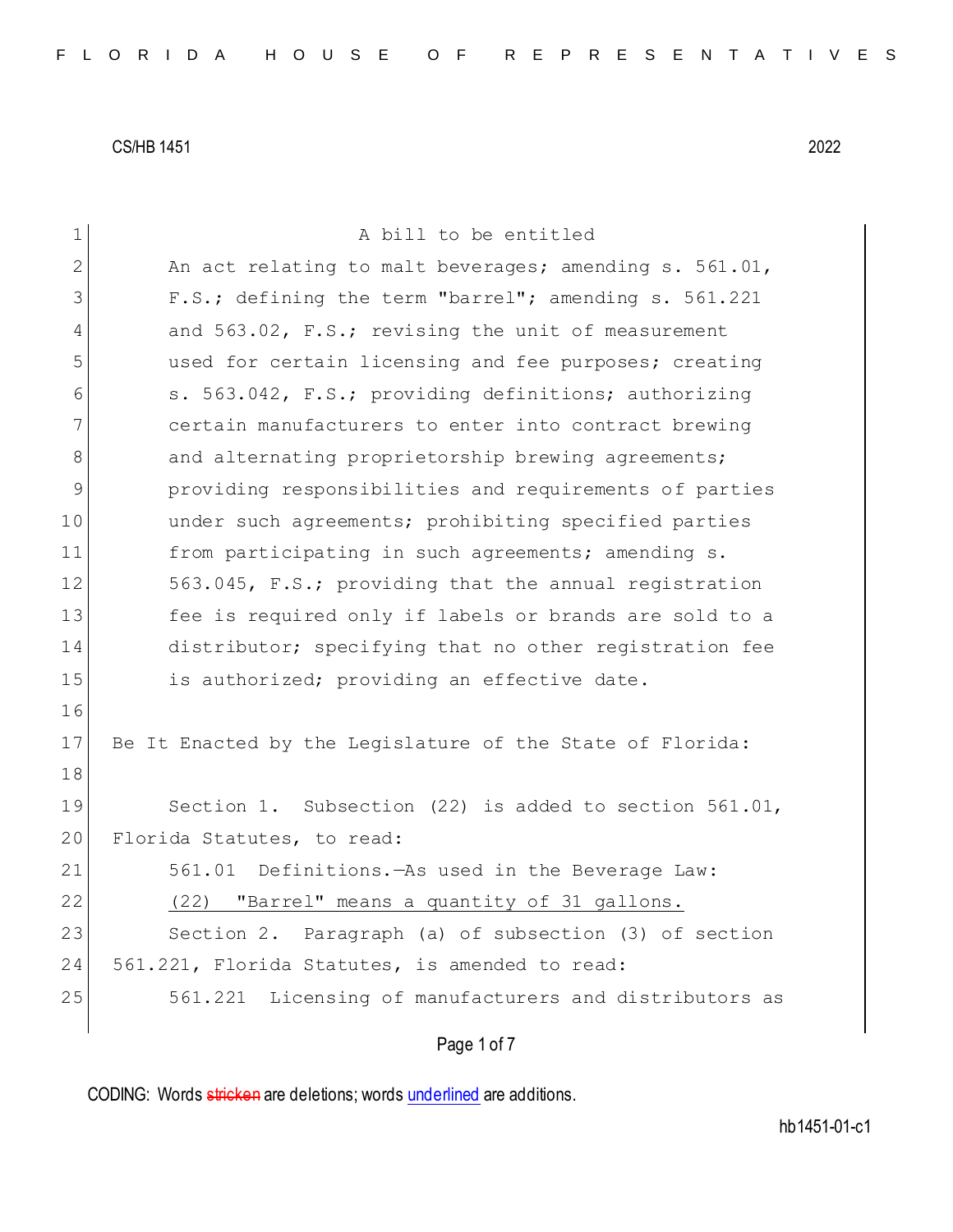| $\mathbf 1$ | A bill to be entitled                                     |
|-------------|-----------------------------------------------------------|
| 2           | An act relating to malt beverages; amending s. 561.01,    |
| 3           | F.S.; defining the term "barrel"; amending s. 561.221     |
| 4           | and 563.02, F.S.; revising the unit of measurement        |
| 5           | used for certain licensing and fee purposes; creating     |
| 6           | s. 563.042, F.S.; providing definitions; authorizing      |
| 7           | certain manufacturers to enter into contract brewing      |
| 8           | and alternating proprietorship brewing agreements;        |
| 9           | providing responsibilities and requirements of parties    |
| 10          | under such agreements; prohibiting specified parties      |
| 11          | from participating in such agreements; amending s.        |
| 12          | 563.045, F.S.; providing that the annual registration     |
| 13          | fee is required only if labels or brands are sold to a    |
| 14          | distributor; specifying that no other registration fee    |
| 15          | is authorized; providing an effective date.               |
| 16          |                                                           |
| 17          | Be It Enacted by the Legislature of the State of Florida: |
| 18          |                                                           |
| 19          | Section 1. Subsection (22) is added to section 561.01,    |
| 20          | Florida Statutes, to read:                                |
| 21          | 561.01 Definitions. As used in the Beverage Law:          |
| 22          | (22) "Barrel" means a quantity of 31 gallons.             |
| 23          | Section 2. Paragraph (a) of subsection (3) of section     |
| 24          | 561.221, Florida Statutes, is amended to read:            |
| 25          | 561.221 Licensing of manufacturers and distributors as    |
|             | Page 1 of 7                                               |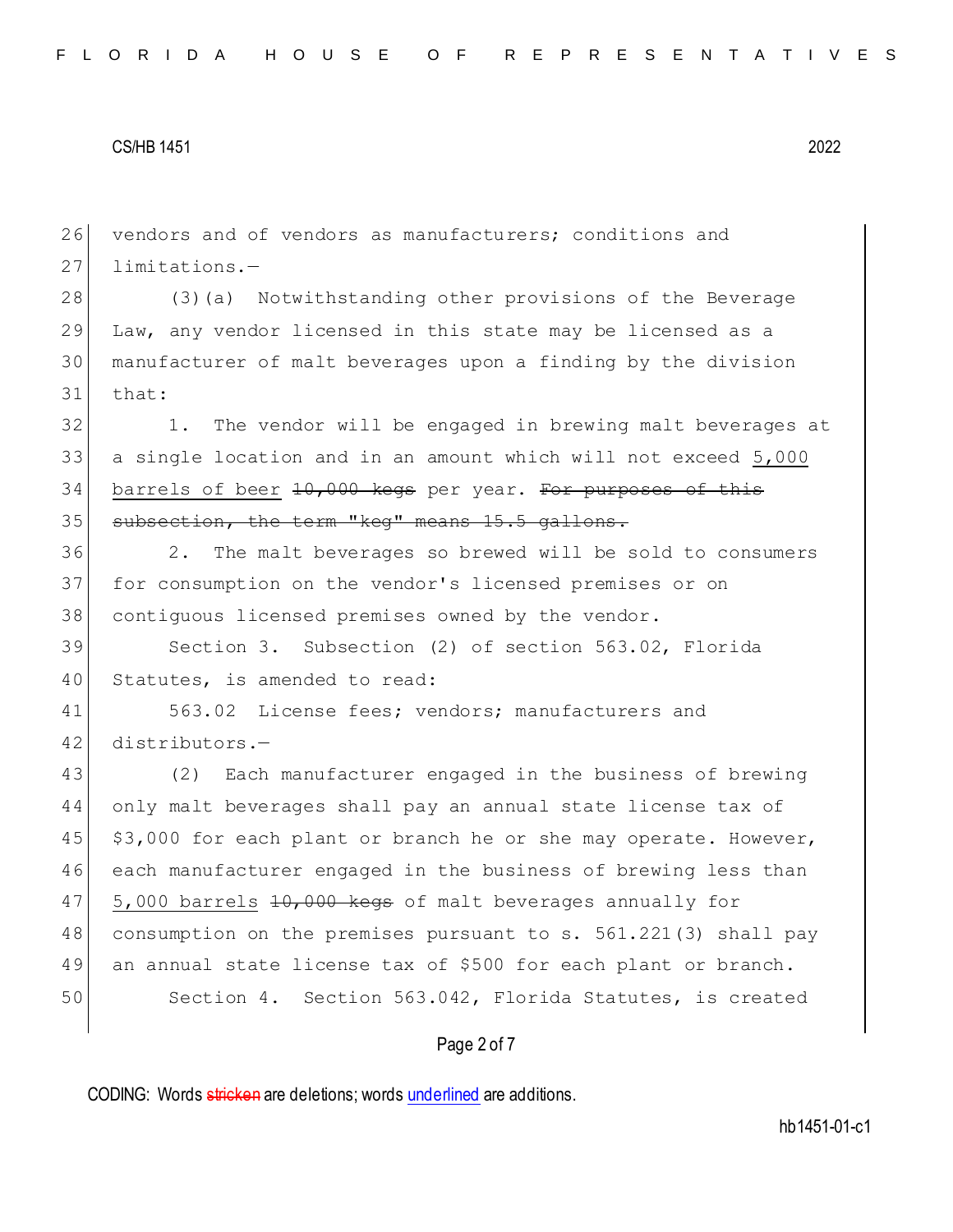26 vendors and of vendors as manufacturers; conditions and 27 limitations.-

 (3)(a) Notwithstanding other provisions of the Beverage Law, any vendor licensed in this state may be licensed as a manufacturer of malt beverages upon a finding by the division 31 that:

32 1. The vendor will be engaged in brewing malt beverages at 33 a single location and in an amount which will not exceed 5,000  $34$  barrels of beer  $10,000$  kegs per year. For purposes of this 35 subsection, the term "keg" means 15.5 gallons.

36 2. The malt beverages so brewed will be sold to consumers 37 for consumption on the vendor's licensed premises or on 38 contiguous licensed premises owned by the vendor.

39 Section 3. Subsection (2) of section 563.02, Florida 40 Statutes, is amended to read:

41 563.02 License fees; vendors; manufacturers and 42 distributors.—

 (2) Each manufacturer engaged in the business of brewing only malt beverages shall pay an annual state license tax of \$3,000 for each plant or branch he or she may operate. However, each manufacturer engaged in the business of brewing less than 47 5,000 barrels 10,000 kegs of malt beverages annually for consumption on the premises pursuant to s. 561.221(3) shall pay an annual state license tax of \$500 for each plant or branch. 50 Section 4. Section 563.042, Florida Statutes, is created

#### Page 2 of 7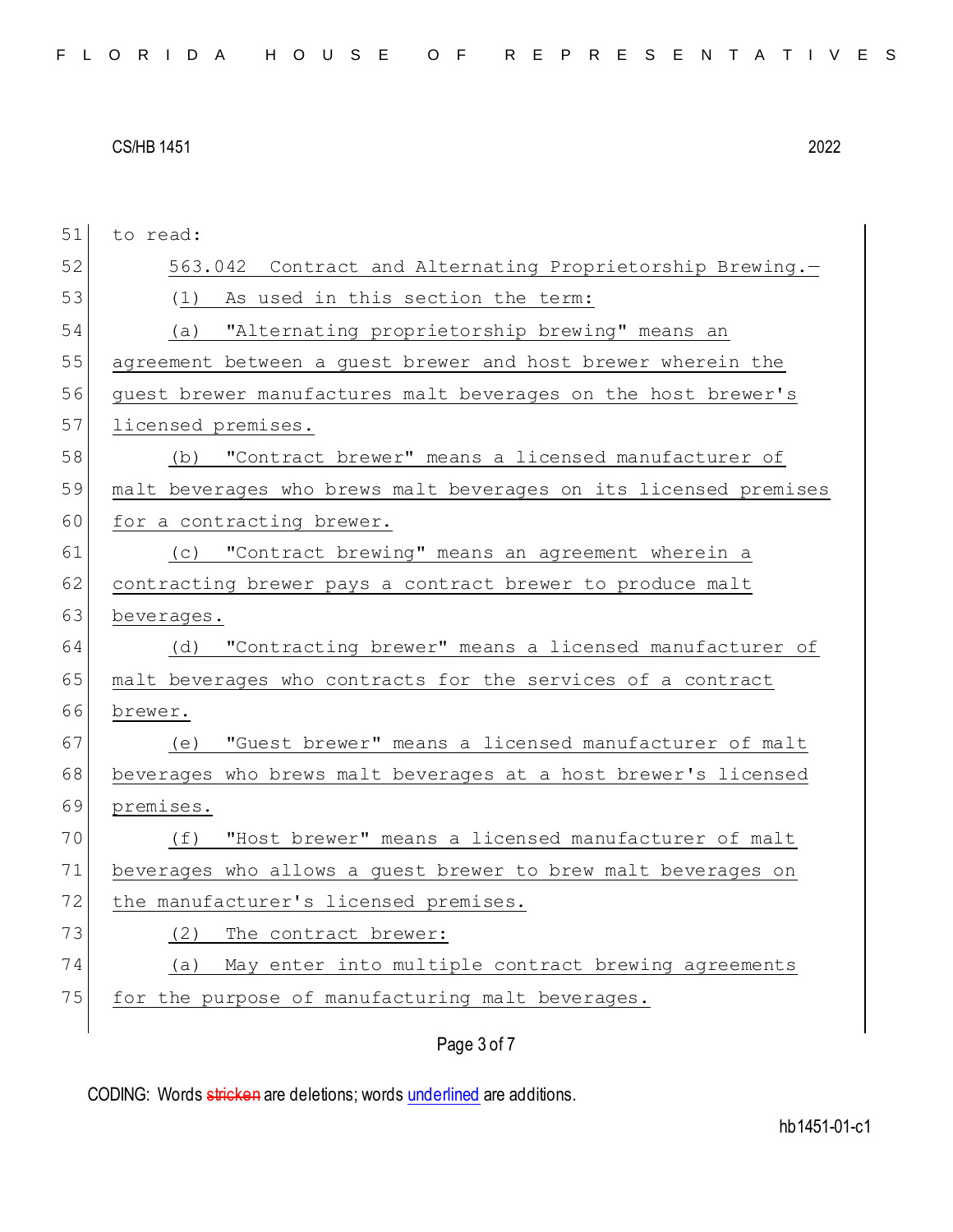| 51 | to read:                                                         |
|----|------------------------------------------------------------------|
| 52 | 563.042 Contract and Alternating Proprietorship Brewing.-        |
| 53 | As used in this section the term:<br>(1)                         |
| 54 | (a) "Alternating proprietorship brewing" means an                |
| 55 | agreement between a guest brewer and host brewer wherein the     |
| 56 | quest brewer manufactures malt beverages on the host brewer's    |
| 57 | licensed premises.                                               |
| 58 | (b) "Contract brewer" means a licensed manufacturer of           |
| 59 | malt beverages who brews malt beverages on its licensed premises |
| 60 | for a contracting brewer.                                        |
| 61 | (c) "Contract brewing" means an agreement wherein a              |
| 62 | contracting brewer pays a contract brewer to produce malt        |
| 63 | beverages.                                                       |
| 64 | "Contracting brewer" means a licensed manufacturer of<br>(d)     |
| 65 | malt beverages who contracts for the services of a contract      |
| 66 | brewer.                                                          |
| 67 | "Guest brewer" means a licensed manufacturer of malt<br>(e)      |
| 68 | beverages who brews malt beverages at a host brewer's licensed   |
| 69 | premises.                                                        |
| 70 | (f) "Host brewer" means a licensed manufacturer of malt          |
| 71 | beverages who allows a quest brewer to brew malt beverages on    |
| 72 | the manufacturer's licensed premises.                            |
| 73 | (2)<br>The contract brewer:                                      |
| 74 | May enter into multiple contract brewing agreements<br>(a)       |
| 75 | for the purpose of manufacturing malt beverages.                 |
|    | Page 3 of 7                                                      |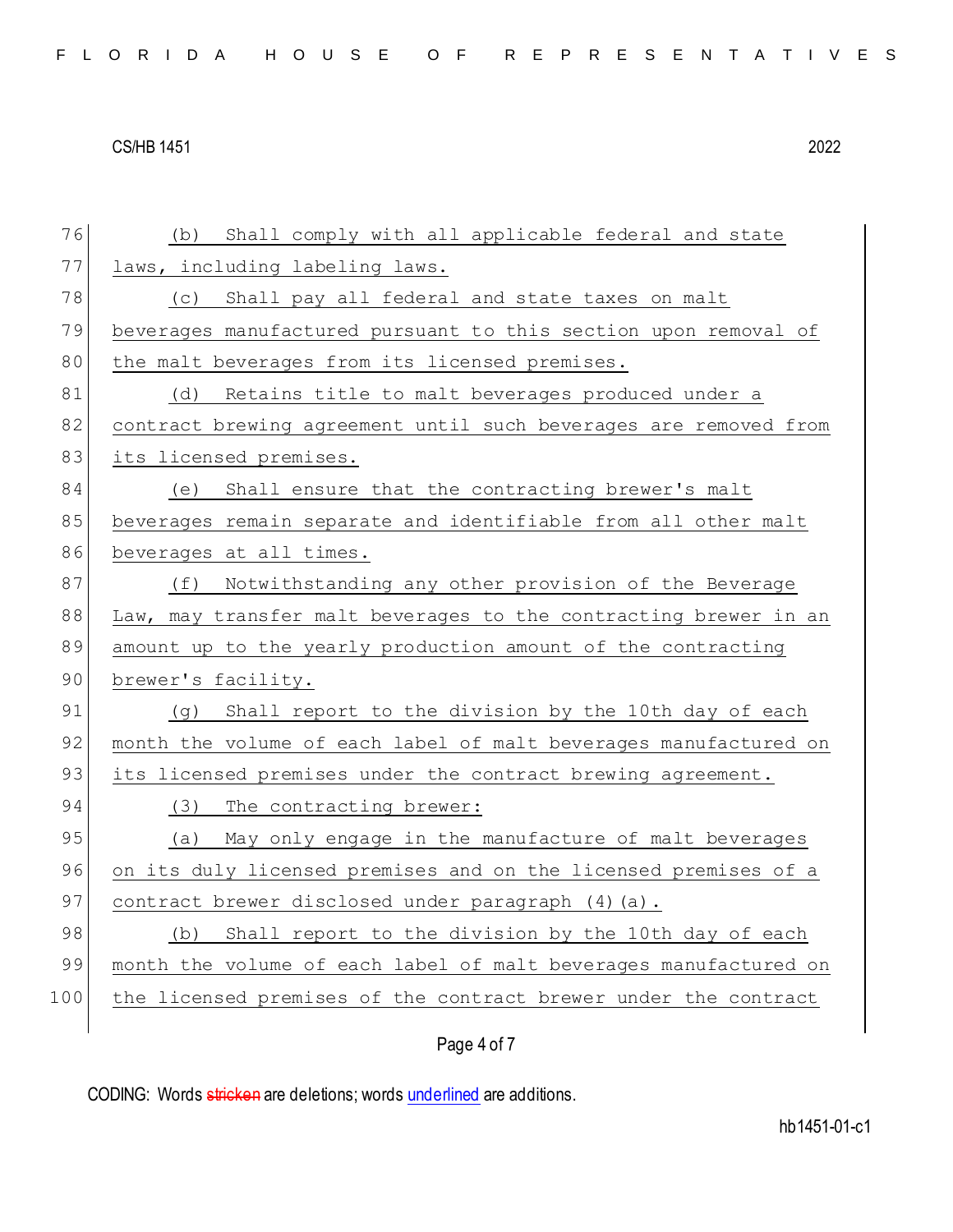| 76  | Shall comply with all applicable federal and state<br>(b)        |
|-----|------------------------------------------------------------------|
| 77  | laws, including labeling laws.                                   |
| 78  | (c) Shall pay all federal and state taxes on malt                |
| 79  | beverages manufactured pursuant to this section upon removal of  |
| 80  | the malt beverages from its licensed premises.                   |
| 81  | Retains title to malt beverages produced under a<br>(d)          |
| 82  | contract brewing agreement until such beverages are removed from |
| 83  | its licensed premises.                                           |
| 84  | (e) Shall ensure that the contracting brewer's malt              |
| 85  | beverages remain separate and identifiable from all other malt   |
| 86  | beverages at all times.                                          |
| 87  | (f) Notwithstanding any other provision of the Beverage          |
| 88  | Law, may transfer malt beverages to the contracting brewer in an |
| 89  | amount up to the yearly production amount of the contracting     |
| 90  | brewer's facility.                                               |
| 91  | (g) Shall report to the division by the 10th day of each         |
| 92  | month the volume of each label of malt beverages manufactured on |
| 93  | its licensed premises under the contract brewing agreement.      |
| 94  | (3) The contracting brewer:                                      |
| 95  | (a) May only engage in the manufacture of malt beverages         |
| 96  | on its duly licensed premises and on the licensed premises of a  |
| 97  | contract brewer disclosed under paragraph (4) (a).               |
| 98  | Shall report to the division by the 10th day of each<br>(b)      |
| 99  | month the volume of each label of malt beverages manufactured on |
| 100 | the licensed premises of the contract brewer under the contract  |
|     |                                                                  |

### Page 4 of 7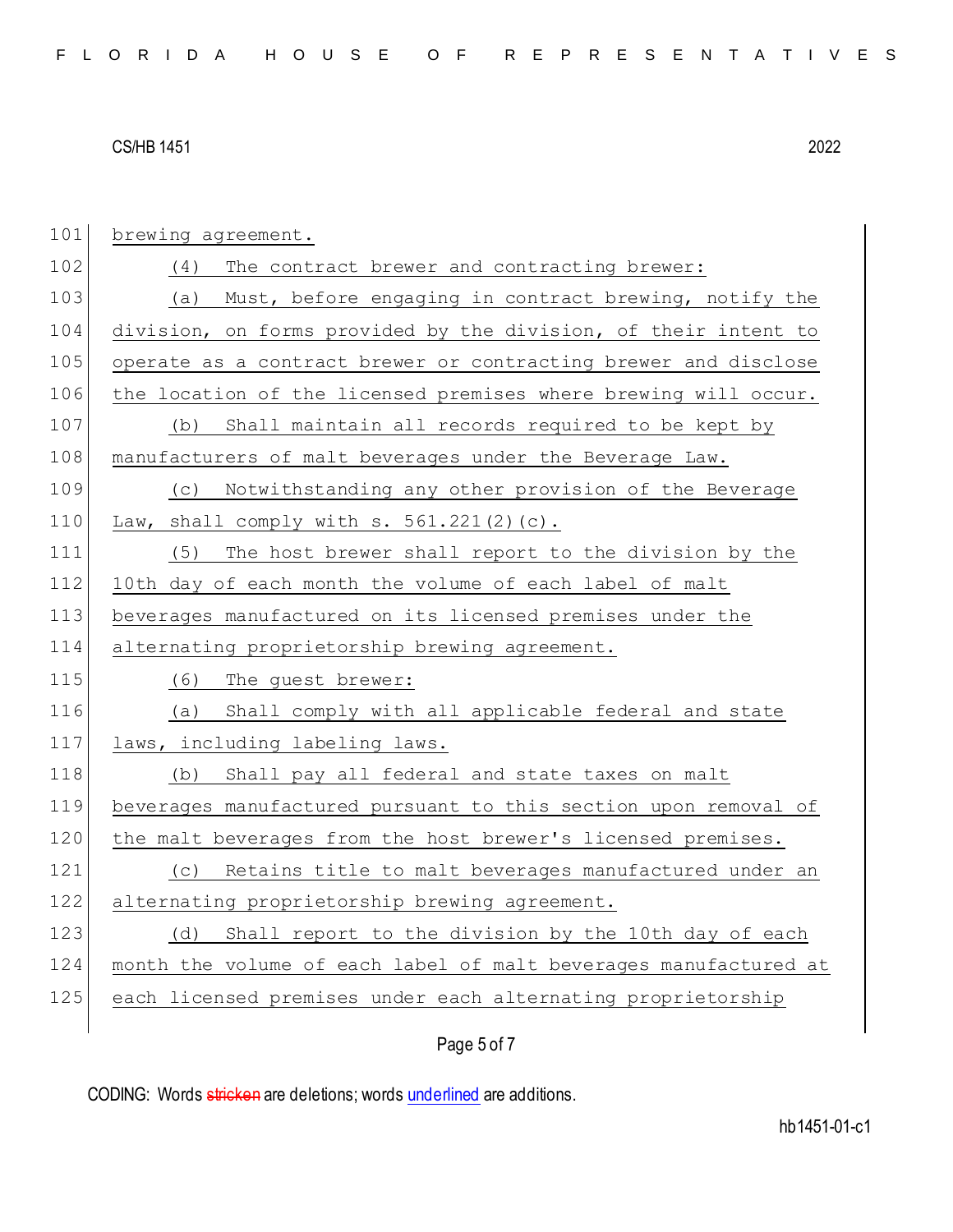| 101 | brewing agreement.                                               |
|-----|------------------------------------------------------------------|
| 102 | The contract brewer and contracting brewer:<br>(4)               |
| 103 | Must, before engaging in contract brewing, notify the<br>(a)     |
| 104 | division, on forms provided by the division, of their intent to  |
| 105 | operate as a contract brewer or contracting brewer and disclose  |
| 106 | the location of the licensed premises where brewing will occur.  |
| 107 | Shall maintain all records required to be kept by<br>(b)         |
| 108 | manufacturers of malt beverages under the Beverage Law.          |
| 109 | Notwithstanding any other provision of the Beverage<br>(C)       |
| 110 | Law, shall comply with $s. 561.221(2)(c)$ .                      |
| 111 | The host brewer shall report to the division by the<br>(5)       |
| 112 | 10th day of each month the volume of each label of malt          |
| 113 | beverages manufactured on its licensed premises under the        |
| 114 | alternating proprietorship brewing agreement.                    |
| 115 | (6)<br>The quest brewer:                                         |
| 116 | Shall comply with all applicable federal and state<br>(a)        |
| 117 | laws, including labeling laws.                                   |
| 118 | Shall pay all federal and state taxes on malt<br>(b)             |
| 119 | beverages manufactured pursuant to this section upon removal of  |
| 120 | the malt beverages from the host brewer's licensed premises.     |
| 121 | Retains title to malt beverages manufactured under an<br>(C)     |
| 122 | alternating proprietorship brewing agreement.                    |
| 123 | Shall report to the division by the 10th day of each<br>(d)      |
| 124 | month the volume of each label of malt beverages manufactured at |
| 125 | each licensed premises under each alternating proprietorship     |
|     |                                                                  |

## Page 5 of 7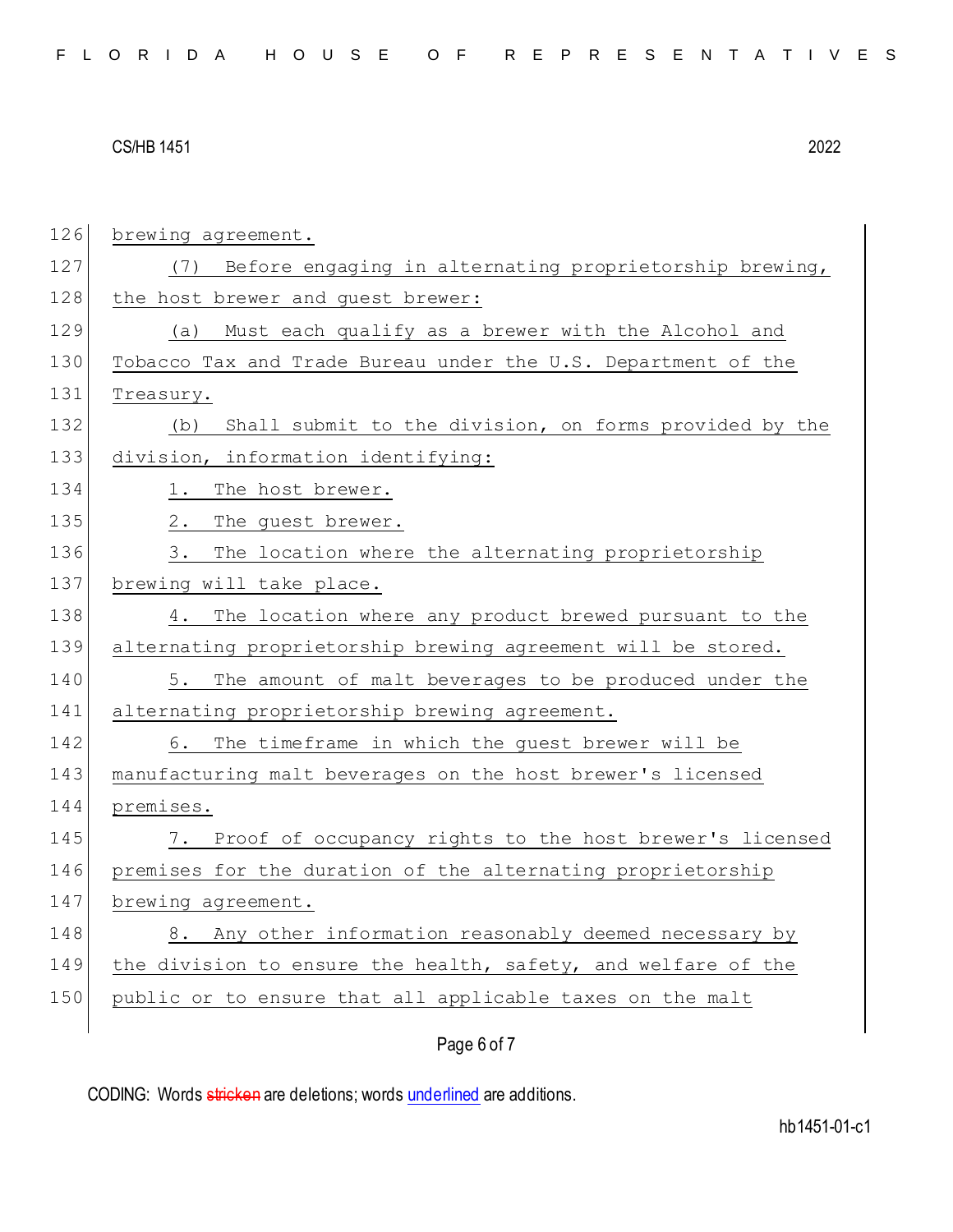| 126 | brewing agreement.                                            |
|-----|---------------------------------------------------------------|
| 127 | (7) Before engaging in alternating proprietorship brewing,    |
| 128 | the host brewer and guest brewer:                             |
| 129 | Must each qualify as a brewer with the Alcohol and<br>(a)     |
| 130 | Tobacco Tax and Trade Bureau under the U.S. Department of the |
| 131 | Treasury.                                                     |
| 132 | Shall submit to the division, on forms provided by the<br>(b) |
| 133 | division, information identifying:                            |
| 134 | 1. The host brewer.                                           |
| 135 | 2.<br>The guest brewer.                                       |
| 136 | The location where the alternating proprietorship<br>3.       |
| 137 | brewing will take place.                                      |
| 138 | The location where any product brewed pursuant to the<br>4.   |
| 139 | alternating proprietorship brewing agreement will be stored.  |
| 140 | The amount of malt beverages to be produced under the<br>5.   |
| 141 | alternating proprietorship brewing agreement.                 |
| 142 | The timeframe in which the guest brewer will be<br>6.         |
| 143 | manufacturing malt beverages on the host brewer's licensed    |
| 144 | premises.                                                     |
| 145 | Proof of occupancy rights to the host brewer's licensed<br>7. |
| 146 | premises for the duration of the alternating proprietorship   |
| 147 | brewing agreement.                                            |
| 148 | Any other information reasonably deemed necessary by<br>8.    |
| 149 | the division to ensure the health, safety, and welfare of the |
| 150 | public or to ensure that all applicable taxes on the malt     |
|     | Page 6 of 7                                                   |